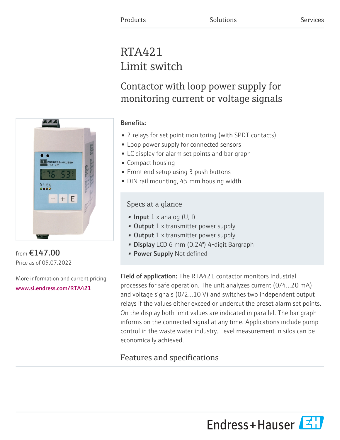# RTA421 Limit switch

Contactor with loop power supply for monitoring current or voltage signals

# Benefits:

- 2 relays for set point monitoring (with SPDT contacts)
- Loop power supply for connected sensors
- LC display for alarm set points and bar graph
- Compact housing
- Front end setup using 3 push buttons
- DIN rail mounting, 45 mm housing width

# Specs at a glance

- Input  $1 \times$  analog (U, I)
- Output  $1 \times$  transmitter power supply
- Output  $1 \times$  transmitter power supply
- Display LCD 6 mm (0.24") 4-digit Bargraph
- Power Supply Not defined

Field of application: The RTA421 contactor monitors industrial processes for safe operation. The unit analyzes current (0/4...20 mA) and voltage signals (0/2...10 V) and switches two independent output relays if the values either exceed or undercut the preset alarm set points. On the display both limit values are indicated in parallel. The bar graph informs on the connected signal at any time. Applications include pump control in the waste water industry. Level measurement in silos can be economically achieved.

# Features and specifications



from €147.00 Price as of 05.07.2022

More information and current pricing: [www.si.endress.com/RTA421](https://www.si.endress.com/RTA421)

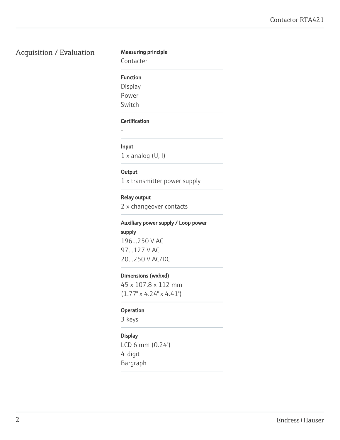# Acquisition / Evaluation Measuring principle

Contacter

### Function

Display

Power

Switch

### Certification

-

### Input

 $1 \times$  analog (U, I)

### **Output**

1 x transmitter power supply

### Relay output

2 x changeover contacts

# Auxiliary power supply / Loop power

supply

196...250 V AC 97...127 V AC 20...250 V AC/DC

### Dimensions (wxhxd)

45 x 107.8 x 112 mm  $(1.77" \times 4.24" \times 4.41")$ 

### **Operation**

3 keys

### Display

LCD 6 mm (0.24") 4-digit Bargraph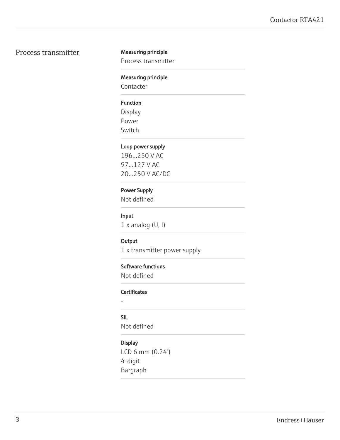# Process transmitter Measuring principle

Process transmitter

### Measuring principle

Contacter

### Function

Display Power Switch

### Loop power supply

196...250 V AC 97...127 V AC 20...250 V AC/DC

### Power Supply

Not defined

### Input

1 x analog (U, I)

### **Output**

1 x transmitter power supply

### Software functions

Not defined

### **Certificates**

-

# SIL

Not defined

## Display

LCD 6 mm (0.24") 4-digit Bargraph